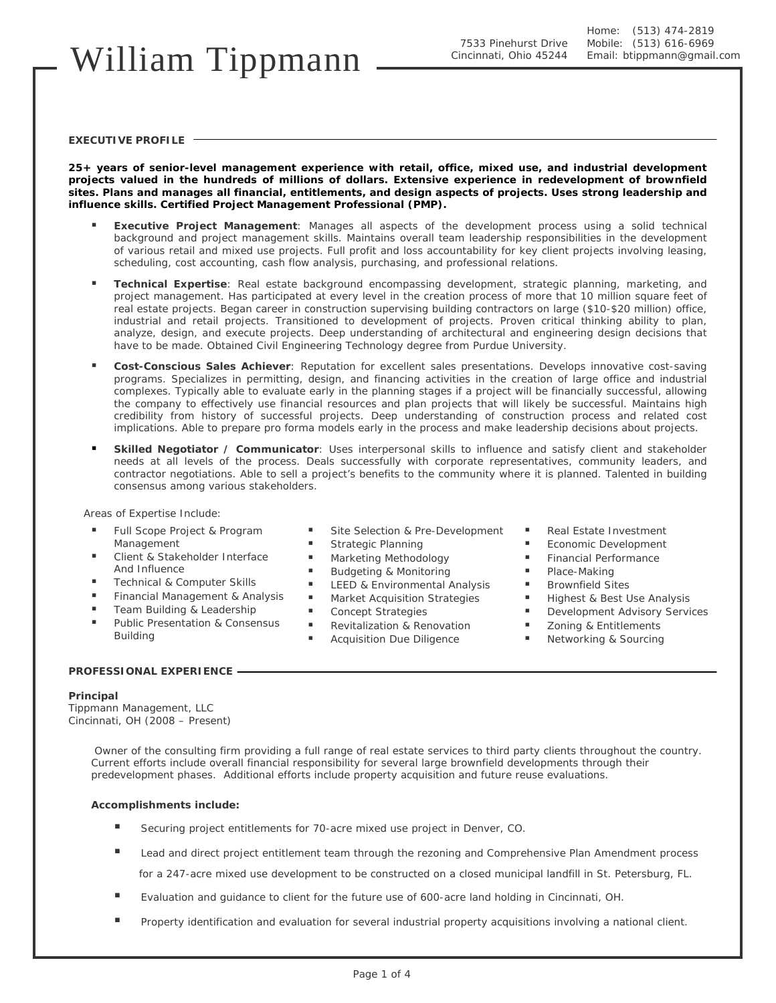# William Tippmann

### **EXECUTIVE PROFILE**

**25+ years of senior-level management experience with retail, office, mixed use, and industrial development projects valued in the hundreds of millions of dollars. Extensive experience in redevelopment of brownfield sites. Plans and manages all financial, entitlements, and design aspects of projects. Uses strong leadership and influence skills. Certified Project Management Professional (PMP).** 

- **Executive Project Management**: Manages all aspects of the development process using a solid technical background and project management skills. Maintains overall team leadership responsibilities in the development of various retail and mixed use projects. Full profit and loss accountability for key client projects involving leasing, scheduling, cost accounting, cash flow analysis, purchasing, and professional relations.
- **Technical Expertise**: Real estate background encompassing development, strategic planning, marketing, and project management. Has participated at every level in the creation process of more that 10 million square feet of real estate projects. Began career in construction supervising building contractors on large (\$10-\$20 million) office, industrial and retail projects. Transitioned to development of projects. Proven critical thinking ability to plan, analyze, design, and execute projects. Deep understanding of architectural and engineering design decisions that have to be made. Obtained Civil Engineering Technology degree from Purdue University.
- **Cost-Conscious Sales Achiever**: Reputation for excellent sales presentations. Develops innovative cost-saving programs. Specializes in permitting, design, and financing activities in the creation of large office and industrial complexes. Typically able to evaluate early in the planning stages if a project will be financially successful, allowing the company to effectively use financial resources and plan projects that will likely be successful. Maintains high credibility from history of successful projects. Deep understanding of construction process and related cost implications. Able to prepare pro forma models early in the process and make leadership decisions about projects.
- **Skilled Negotiator / Communicator**: Uses interpersonal skills to influence and satisfy client and stakeholder needs at all levels of the process. Deals successfully with corporate representatives, community leaders, and contractor negotiations. Able to sell a project's benefits to the community where it is planned. Talented in building consensus among various stakeholders.

### *Areas of Expertise Include:*

- Full Scope Project & Program Management
- Client & Stakeholder Interface And Influence
- Technical & Computer Skills
- Financial Management & Analysis
- Team Building & Leadership
- Public Presentation & Consensus Building

### **PROFESSIONAL EXPERIENCE**

### **Principal**

*Tippmann Management, LLC*  Cincinnati, OH (2008 – Present)

> Owner of the consulting firm providing a full range of real estate services to third party clients throughout the country. Current efforts include overall financial responsibility for several large brownfield developments through their predevelopment phases. Additional efforts include property acquisition and future reuse evaluations.

### **Accomplishments include:**

- Securing project entitlements for 70-acre mixed use project in Denver, CO.
- **Lead and direct project entitlement team through the rezoning and Comprehensive Plan Amendment process** for a 247-acre mixed use development to be constructed on a closed municipal landfill in St. Petersburg, FL.
- Evaluation and guidance to client for the future use of 600-acre land holding in Cincinnati, OH.
- **Property identification and evaluation for several industrial property acquisitions involving a national client.**

**Budgeting & Monitoring** 

Site Selection & Pre-Development

- **LEED & Environmental Analysis**
- **Market Acquisition Strategies**

 Strategic Planning **Marketing Methodology** 

- Concept Strategies
- Revitalization & Renovation
- Acquisition Due Diligence
- Real Estate Investment
- Economic Development
- **Financial Performance**
- Place-Making
- **Brownfield Sites**
- Highest & Best Use Analysis
- **Development Advisory Services**
- **EXECUTE:** Zoning & Entitlements
	- **Networking & Sourcing**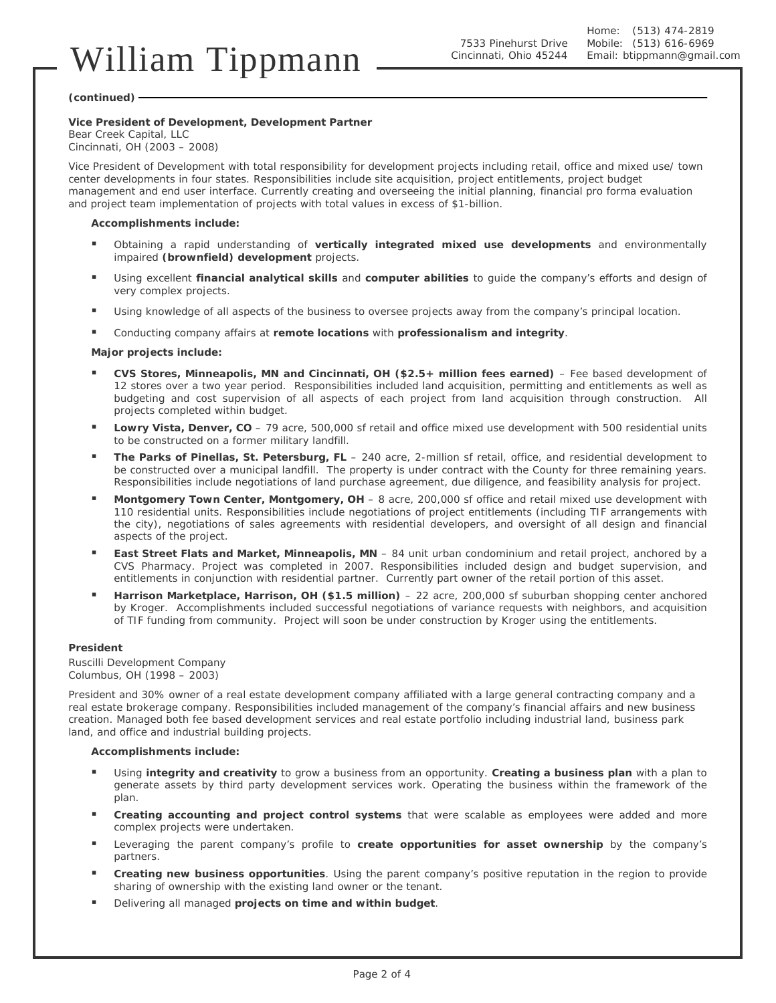#### **(continued)**

### **Vice President of Development, Development Partner**

*Bear Creek Capital, LLC*  Cincinnati, OH (2003 – 2008)

Vice President of Development with total responsibility for development projects including retail, office and mixed use/ town center developments in four states. Responsibilities include site acquisition, project entitlements, project budget management and end user interface. Currently creating and overseeing the initial planning, financial pro forma evaluation and project team implementation of projects with total values in excess of \$1-billion.

### **Accomplishments include:**

- Obtaining a rapid understanding of **vertically integrated mixed use developments** and environmentally impaired **(brownfield) development** projects.
- Using excellent **financial analytical skills** and **computer abilities** to guide the company's efforts and design of very complex projects.
- Using knowledge of all aspects of the business to oversee projects away from the company's principal location.
- Conducting company affairs at **remote locations** with **professionalism and integrity**.

### **Major projects include:**

- **CVS Stores, Minneapolis, MN and Cincinnati, OH (\$2.5+ million fees earned)** Fee based development of 12 stores over a two year period. Responsibilities included land acquisition, permitting and entitlements as well as budgeting and cost supervision of all aspects of each project from land acquisition through construction. All projects completed within budget.
- **Lowry Vista, Denver, CO** 79 acre, 500,000 sf retail and office mixed use development with 500 residential units to be constructed on a former military landfill.
- **The Parks of Pinellas, St. Petersburg, FL** 240 acre, 2-million sf retail, office, and residential development to be constructed over a municipal landfill. The property is under contract with the County for three remaining years. Responsibilities include negotiations of land purchase agreement, due diligence, and feasibility analysis for project.
- **Montgomery Town Center, Montgomery, OH** 8 acre, 200,000 sf office and retail mixed use development with 110 residential units. Responsibilities include negotiations of project entitlements (including TIF arrangements with the city), negotiations of sales agreements with residential developers, and oversight of all design and financial aspects of the project.
- **East Street Flats and Market, Minneapolis, MN** 84 unit urban condominium and retail project, anchored by a CVS Pharmacy. Project was completed in 2007. Responsibilities included design and budget supervision, and entitlements in conjunction with residential partner. Currently part owner of the retail portion of this asset.
- **Harrison Marketplace, Harrison, OH (\$1.5 million)** 22 acre, 200,000 sf suburban shopping center anchored by Kroger. Accomplishments included successful negotiations of variance requests with neighbors, and acquisition of TIF funding from community. Project will soon be under construction by Kroger using the entitlements.

### **President**

*Ruscilli Development Company*  Columbus, OH (1998 – 2003)

President and 30% owner of a real estate development company affiliated with a large general contracting company and a real estate brokerage company. Responsibilities included management of the company's financial affairs and new business creation. Managed both fee based development services and real estate portfolio including industrial land, business park land, and office and industrial building projects.

### **Accomplishments include:**

- Using **integrity and creativity** to grow a business from an opportunity. **Creating a business plan** with a plan to generate assets by third party development services work. Operating the business within the framework of the plan.
- **Creating accounting and project control systems** that were scalable as employees were added and more complex projects were undertaken.
- Leveraging the parent company's profile to **create opportunities for asset ownership** by the company's partners.
- **Creating new business opportunities**. Using the parent company's positive reputation in the region to provide sharing of ownership with the existing land owner or the tenant.
- Delivering all managed **projects on time and within budget**.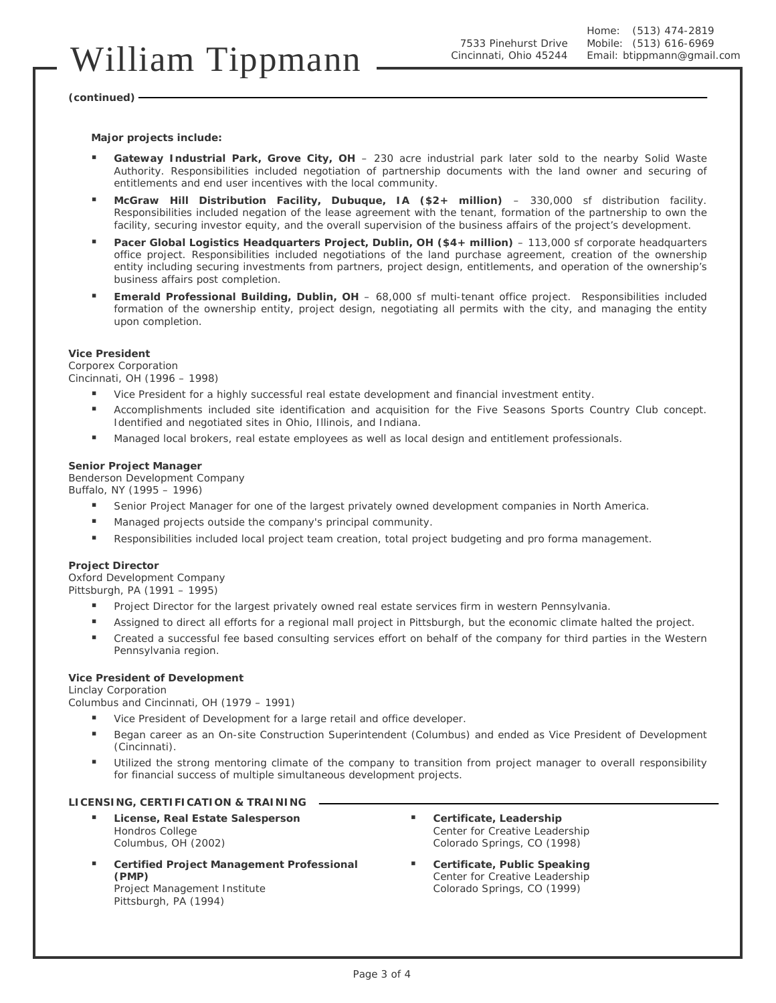# William Tippmann

7533 Pinehurst Drive Cincinnati, Ohio 45244

**(continued)** 

**Major projects include:** 

- Gateway Industrial Park, Grove City, OH 230 acre industrial park later sold to the nearby Solid Waste Authority. Responsibilities included negotiation of partnership documents with the land owner and securing of entitlements and end user incentives with the local community.
- **McGraw Hill Distribution Facility, Dubuque, IA (\$2+ million)** 330,000 sf distribution facility. Responsibilities included negation of the lease agreement with the tenant, formation of the partnership to own the facility, securing investor equity, and the overall supervision of the business affairs of the project's development.
- **Pacer Global Logistics Headquarters Project, Dublin, OH (\$4+ million)** 113,000 sf corporate headquarters office project. Responsibilities included negotiations of the land purchase agreement, creation of the ownership entity including securing investments from partners, project design, entitlements, and operation of the ownership's business affairs post completion.
- **Emerald Professional Building, Dublin, OH** 68,000 sf multi-tenant office project. Responsibilities included formation of the ownership entity, project design, negotiating all permits with the city, and managing the entity upon completion.

### **Vice President**

*Corporex Corporation*  Cincinnati, OH (1996 – 1998)

- Vice President for a highly successful real estate development and financial investment entity.
- **EXECOMPLER INCLUMENT ACCOMPLISHMENT ACCOMPLISHMENT ACCOMPLISHMENT COUNTY COMPTS ACCOMPLISHMENT ACCOMPLISHMENT ACCOMPLISHMENT ACCOMPLISHMENT ACCOMPLISHMENT ACCOMPLISHMENT ACCOMPLISHMENT ACCOMPLISHMENT ACCOMPLISHMENT ACCOMP** Identified and negotiated sites in Ohio, Illinois, and Indiana.
- Managed local brokers, real estate employees as well as local design and entitlement professionals.

### **Senior Project Manager**

*Benderson Development Company*  Buffalo, NY (1995 – 1996)

- Senior Project Manager for one of the largest privately owned development companies in North America.
- Managed projects outside the company's principal community.
- **Responsibilities included local project team creation, total project budgeting and pro forma management.**

### **Project Director**

*Oxford Development Company*  Pittsburgh, PA (1991 – 1995)

- Project Director for the largest privately owned real estate services firm in western Pennsylvania.
- Assigned to direct all efforts for a regional mall project in Pittsburgh, but the economic climate halted the project.
- Created a successful fee based consulting services effort on behalf of the company for third parties in the Western Pennsylvania region.

### **Vice President of Development**

*Linclay Corporation* 

Columbus and Cincinnati, OH (1979 – 1991)

- Vice President of Development for a large retail and office developer.
- Began career as an On-site Construction Superintendent (Columbus) and ended as Vice President of Development (Cincinnati).
- Utilized the strong mentoring climate of the company to transition from project manager to overall responsibility for financial success of multiple simultaneous development projects.

### **LICENSING, CERTIFICATION & TRAINING**

- **License, Real Estate Salesperson**  *Hondros College*  Columbus, OH (2002)
- **Certified Project Management Professional (PMP)**  *Project Management Institute*

Pittsburgh, PA (1994)

- **Certificate, Leadership**  *Center for Creative Leadership*  Colorado Springs, CO (1998)
- **Certificate, Public Speaking**  *Center for Creative Leadership*  Colorado Springs, CO (1999)